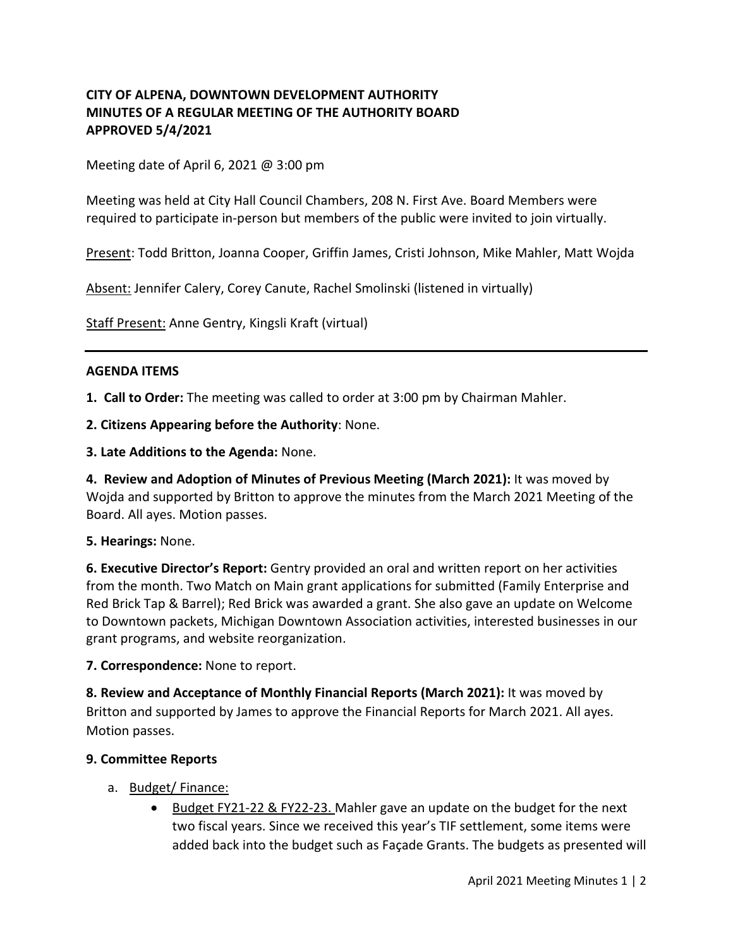## **CITY OF ALPENA, DOWNTOWN DEVELOPMENT AUTHORITY MINUTES OF A REGULAR MEETING OF THE AUTHORITY BOARD APPROVED 5/4/2021**

Meeting date of April 6, 2021  $\omega$  3:00 pm

Meeting was held at City Hall Council Chambers, 208 N. First Ave. Board Members were required to participate in-person but members of the public were invited to join virtually.

Present: Todd Britton, Joanna Cooper, Griffin James, Cristi Johnson, Mike Mahler, Matt Wojda

Absent: Jennifer Calery, Corey Canute, Rachel Smolinski (listened in virtually)

Staff Present: Anne Gentry, Kingsli Kraft (virtual)

### **AGENDA ITEMS**

**1. Call to Order:** The meeting was called to order at 3:00 pm by Chairman Mahler.

**2. Citizens Appearing before the Authority**: None.

**3. Late Additions to the Agenda:** None.

**4. Review and Adoption of Minutes of Previous Meeting (March 2021):** It was moved by Wojda and supported by Britton to approve the minutes from the March 2021 Meeting of the Board. All ayes. Motion passes.

### **5. Hearings:** None.

**6. Executive Director's Report:** Gentry provided an oral and written report on her activities from the month. Two Match on Main grant applications for submitted (Family Enterprise and Red Brick Tap & Barrel); Red Brick was awarded a grant. She also gave an update on Welcome to Downtown packets, Michigan Downtown Association activities, interested businesses in our grant programs, and website reorganization.

#### **7. Correspondence:** None to report.

**8. Review and Acceptance of Monthly Financial Reports (March 2021):** It was moved by Britton and supported by James to approve the Financial Reports for March 2021. All ayes. Motion passes.

### **9. Committee Reports**

- a. Budget/ Finance:
	- Budget FY21-22 & FY22-23. Mahler gave an update on the budget for the next two fiscal years. Since we received this year's TIF settlement, some items were added back into the budget such as Façade Grants. The budgets as presented will